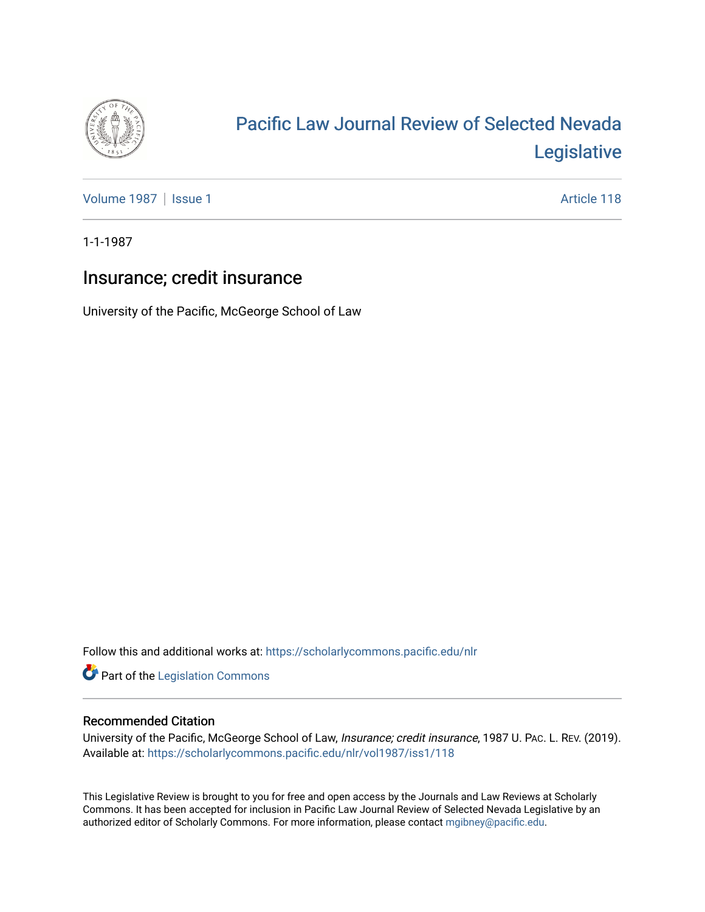

# [Pacific Law Journal Review of Selected Nevada](https://scholarlycommons.pacific.edu/nlr)  [Legislative](https://scholarlycommons.pacific.edu/nlr)

[Volume 1987](https://scholarlycommons.pacific.edu/nlr/vol1987) | [Issue 1](https://scholarlycommons.pacific.edu/nlr/vol1987/iss1) Article 118

1-1-1987

# Insurance; credit insurance

University of the Pacific, McGeorge School of Law

Follow this and additional works at: [https://scholarlycommons.pacific.edu/nlr](https://scholarlycommons.pacific.edu/nlr?utm_source=scholarlycommons.pacific.edu%2Fnlr%2Fvol1987%2Fiss1%2F118&utm_medium=PDF&utm_campaign=PDFCoverPages) 

**Part of the [Legislation Commons](http://network.bepress.com/hgg/discipline/859?utm_source=scholarlycommons.pacific.edu%2Fnlr%2Fvol1987%2Fiss1%2F118&utm_medium=PDF&utm_campaign=PDFCoverPages)** 

## Recommended Citation

University of the Pacific, McGeorge School of Law, Insurance; credit insurance, 1987 U. PAC. L. REV. (2019). Available at: [https://scholarlycommons.pacific.edu/nlr/vol1987/iss1/118](https://scholarlycommons.pacific.edu/nlr/vol1987/iss1/118?utm_source=scholarlycommons.pacific.edu%2Fnlr%2Fvol1987%2Fiss1%2F118&utm_medium=PDF&utm_campaign=PDFCoverPages) 

This Legislative Review is brought to you for free and open access by the Journals and Law Reviews at Scholarly Commons. It has been accepted for inclusion in Pacific Law Journal Review of Selected Nevada Legislative by an authorized editor of Scholarly Commons. For more information, please contact [mgibney@pacific.edu](mailto:mgibney@pacific.edu).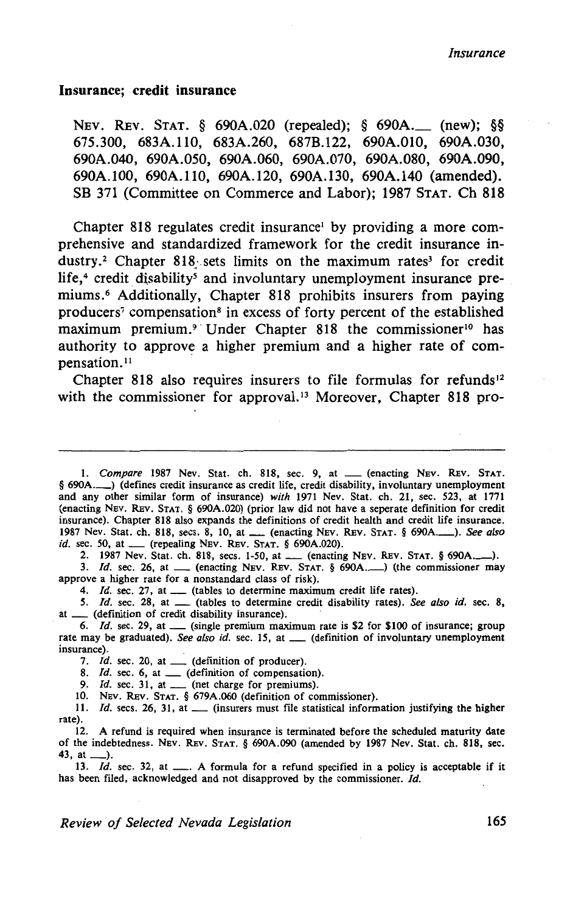#### **Insurance; credit insurance**

NEv. REv. STAT. § 690A.020 (repealed); § 690A.\_ (new); §§ 675.300, 683A.110, 683A.260, 687B.122, 690A.010, 690A.030, 690A.040, 690A.050, 690A.060, 690A.070, 690A.080, 690A.090, 690A.100, 690A.110, 690A.120, 690A.l30, 690A.140 (amended). SB 371 (Committee on Commerce and Labor); 1987 STAT. Ch 818

Chapter 818 regulates credit insurance<sup>1</sup> by providing a more comprehensive and standardized framework for the credit insurance industry.<sup>2</sup> Chapter 818 sets limits on the maximum rates<sup>3</sup> for credit life, $4$  credit disability<sup>5</sup> and involuntary unemployment insurance premiums.6 Additionally, Chapter 818 prohibits insurers from paying producers7 compensation8 in excess of forty percent of the established maximum premium.<sup>9</sup> Under Chapter 818 the commissioner<sup>10</sup> has authority to approve a higher premium and a higher rate of compensation.<sup>11</sup>

Chapter 818 also requires insurers to file formulas for refunds<sup>12</sup> with the commissioner for approval.<sup>13</sup> Moreover, Chapter 818 pro-

1. *Compare* 1987 Nev. Stat. ch. 818, sec. 9, at \_\_ (enacting NEV. REV. STAT. § 690A.\_\_) (defines credit insurance as credit life, credit disability, involuntary unemployment and any other similar form of insurance) *with* 1971 Nev. Stat. ch. 21, sec. 523, at 1771 (enacting NEv. REv. STAT. § 690A.020) (prior law did not have a seperate definition for credit insurance). Chapter 818 also expands the definitions of credit health and credit life insurance. 1987 Nev. Stat. ch. 818, sees. 8, 10, at\_ (enacting NEV. REv. STAT. § 690A.-). *See also id.* sec. 50, at \_\_\_ (repealing NEV. REV. STAT. § 690A.020).

2. 1987 Nev. Stat. ch. 818, secs. 1-50, at \_\_ (enacting NEV. REV. STAT. § 690A...........).

3. *Id.* sec. 26, at \_\_\_ (enacting NEV. REV. STAT. § 690A.........) (the commissioner may approve a higher rate for a nonstandard class of risk).

4. *Id.* sec. 27, at  $\equiv$  (tables to determine maximum credit life rates).

*5. /d.* sec. 28, at \_ (tables to determine credit disability rates). *See also id.* sec. 8, at \_\_ (definition of credit disability insurance).

6. *Id.* sec. 29, at  $\mu$  (single premium maximum rate is \$2 for \$100 of insurance; group rate may be graduated). *See also id.* sec. 15, at \_\_ (definition of involuntary unemployment insurance).

7. *Id.* sec. 20, at \_\_ (definition of producer).

8. *Id.* sec. 6, at \_\_ (definition of compensation).

9. *Id.* sec. 31, at \_\_\_ (net charge for premiums).

10. NEV. REV. STAT. § 679A.060 (definition of commissioner).

11. *Id.* secs. 26, 31, at \_\_\_ (insurers must file statistical information justifying the higher rate).

12. A refund is required when insurance is terminated before the scheduled maturity date of the indebtedness. NEv. REv. STAT. § 690A.090 (amended by 1987 Nev. Stat. ch. 818, sec. 43, at  $\Box$ ).<br>
13. *Id.* sec. 32, at  $\Box$ . A formula for a refund specified in a policy is acceptable if it is  $Id$ . Sec. 32, at  $\Box$ . A formula for a refund specified in a policy is acceptable if it

has been filed, acknowledged and not disapproved by the commissioner. Id.

*Review of Selected Nevada Legislation* 165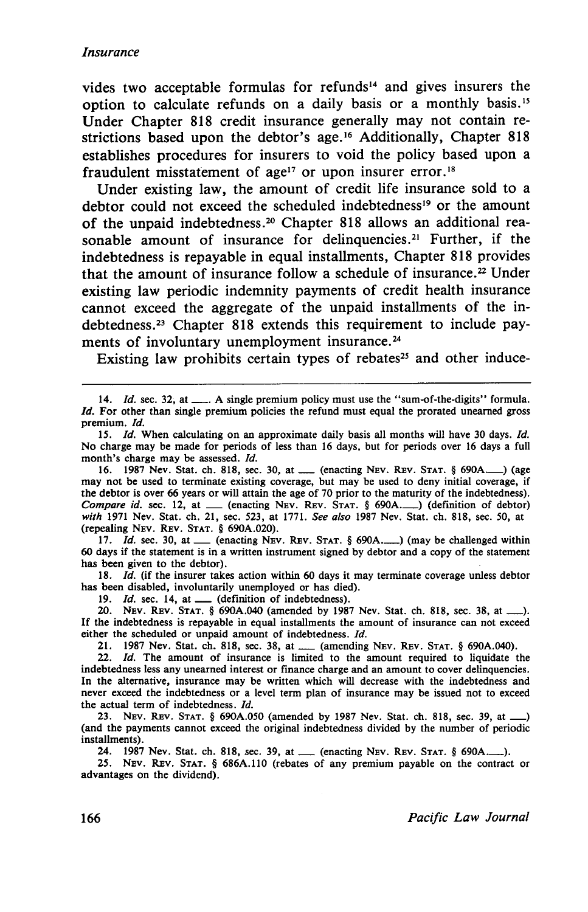### *Insurance*

vides two acceptable formulas for refunds<sup>14</sup> and gives insurers the option to calculate refunds on a daily basis or a monthly basis.<sup>15</sup> Under Chapter 818 credit insurance generally may not contain restrictions based upon the debtor's age.<sup>16</sup> Additionally, Chapter 818 establishes procedures for insurers to void the policy based upon a fraudulent misstatement of age<sup>17</sup> or upon insurer error.<sup>18</sup>

Under existing law, the amount of credit life insurance sold to a debtor could not exceed the scheduled indebtedness<sup>19</sup> or the amount of the unpaid indebtedness.<sup>20</sup> Chapter 818 allows an additional reasonable amount of insurance for delinquencies.<sup>21</sup> Further, if the indebtedness is repayable in equal installments, Chapter 818 provides that the amount of insurance follow a schedule of insurance. 22 Under existing law periodic indemnity payments of credit health insurance cannot exceed the aggregate of the unpaid installments of the indebtedness.23 Chapter 818 extends this requirement to include payments of involuntary unemployment insurance.<sup>24</sup>

Existing law prohibits certain types of rebates<sup>25</sup> and other induce-

17. *Id.* sec. 30, at  $\qquad$  (enacting NEV. REV. STAT. § 690A...) (may be challenged within 60 days if the statement is in a written instrument signed by debtor and a copy of the statement has been given to the debtor).

18. *Id.* (if the insurer takes action within 60 days it may terminate coverage unless debtor has been disabled, involuntarily unemployed or has died).

19.  $Id.$  sec. 14, at  $\_\_\_\_\$  (definition of indebtedness).

20. NEv. REv. STAT. § 690A.040 (amended by 1987 Nev. Stat. ch. 818, sec. 38, at\_). If the indebtedness is repayable in equal installments the amount of insurance can not exceed either the scheduled or unpaid amount of indebtedness. Id.

er the scheduled or unpaid amount of indebtedness. *Id.*<br>21. 1987 Nev. Stat. ch. 818, sec. 38, at <u>...</u> (amending NEV. REV. STAT. § 690A.040).<br>22. *Id.* The amount of insurance is limited to the amount required to liquidat

indebtedness less any unearned interest or finance charge and an amount to cover delinquencies. In the alternative, insurance may be written which will decrease with the indebtedness and never exceed the indebtedness or a level term plan of insurance may be issued not to exceed the actual term of indebtedness. Id.

23. NEV. REv. STAT. § 690A.050 (amended by 1987 Nev. Stat. ch. 818, sec. 39, at\_) (and the payments cannot exceed the original indebtedness divided by the number of periodic installments).

24. 1987 Nev. Stat. ch. 818, sec. 39, at \_\_ (enacting NEV. REV. STAT. § 690A........).

25. NEv. REv. STAT. § 686A.ll0 (rebates of any premium payable on the contract or advantages on the dividend).

<sup>14.</sup> *Id.* sec. 32, at \_\_\_. A single premium policy must use the "sum-of-the-digits" formula. *Id.* For other than single premium policies the refund must equal the prorated unearned gross premium. Id.

<sup>15.</sup> *Id.* When calculating on an approximate daily basis all months will have 30 days. *Id.* No charge may be made for periods of less than 16 days, but for periods over 16 days a full month's charge may be assessed. Id.

<sup>16. 1987</sup> Nev. Stat. ch. 818, sec. 30, at \_\_\_ (enacting Nev. Rev. STAT. § 690A...........) (age may not be used to terminate existing coverage, but may be used to deny initial coverage, if the debtor is over 66 years or will attain the age of 70 prior to the maturity of the indebtedness). *Compare id.* sec. 12, at \_\_ (enacting NEV. REV. STAT. § 690A.\_\_) (definition of debtor) *with* 1971 Nev. Stat. ch. 21, sec. 523, at 1771. *See also* 1987 Nev. Stat. ch. 818, sec. 50, at (repealing NEV. REv. STAT. § 690A.020).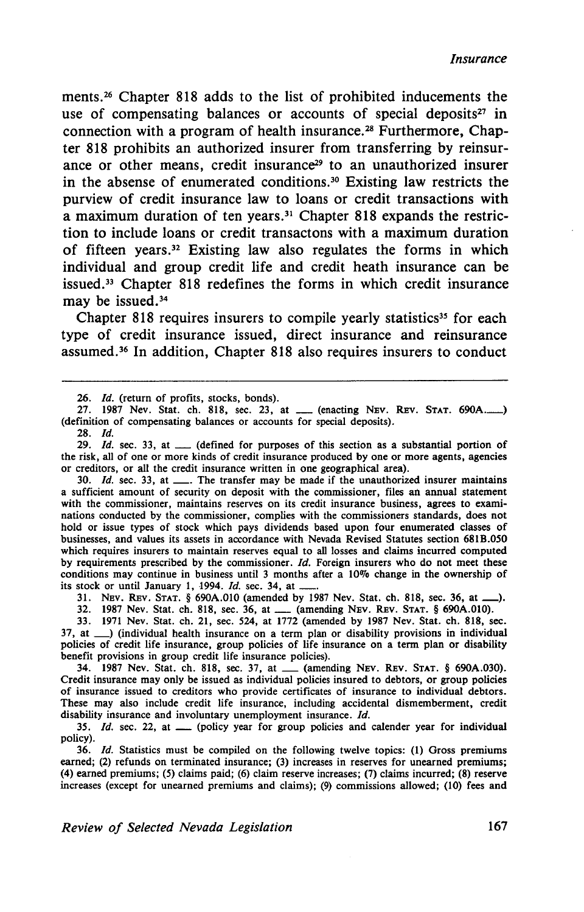ments. 26 Chapter 818 adds to the list of prohibited inducements the use of compensating balances or accounts of special deposits<sup>27</sup> in connection with a program of health insurance. 28 Furthermore, Chapter 818 prohibits an authorized insurer from transferring by reinsurance or other means, credit insurance<sup>29</sup> to an unauthorized insurer in the absense of enumerated conditions. 30 Existing law restricts the purview of credit insurance law to loans or credit transactions with a maximum duration of ten years. 31 Chapter 818 expands the restriction to include loans or credit transactons with a maximum duration of fifteen years. 32 Existing law also regulates the forms in which individual and group credit life and credit heath insurance can be issued. 33 Chapter 818 redefines the forms in which credit insurance may be issued.<sup>34</sup>

Chapter 818 requires insurers to compile yearly statistics<sup>35</sup> for each type of credit insurance issued, direct insurance and reinsurance assumed. 36 In addition, Chapter 818 also requires insurers to conduct

27. 1987 Nev. Stat. ch. 818, sec. 23, at \_\_ (enacting NEV. REV. STAT. 690A........) (definition of compensating balances or accounts for special deposits).

28. *!d.* 

30.  $Id.$  sec. 33, at  $\frac{1}{1}$ . The transfer may be made if the unauthorized insurer maintains a sufficient amount of security on deposit with the commissioner, files an annual statement with the commissioner, maintains reserves on its credit insurance business, agrees to examinations conducted by the commissioner, complies with the commissioners standards, does not hold or issue types of stock which pays dividends based upon four enumerated classes of businesses, and values its assets in accordance with Nevada Revised Statutes section 681B.050 which requires insurers to maintain reserves equal to all losses and claims incurred computed by requirements prescribed by the commissioner. *ld.* Foreign insurers who do not meet these conditions may continue in business until 3 months after a 10% change in the ownership of its stock or until January 1, 1994. *Id.* sec. 34, at .

31. NEv. REv. STAT. § 690A.OIO (amended by 1987 Nev. Stat. ch. 818, sec. 36, at\_),

31. NEV. REV. STAT. § 690A.010 (amended by 198/ Nev. Stat. ch. 818, sec. 36, at \_\_\_\_).<br>32. 1987 Nev. Stat. ch. 818, sec. 36, at \_\_\_ (amending NEv. REv. STAT. § 690A.010).<br>33. 1971 Nev. Stat. ch. 21, sec. 524, at 1772 (amen

37, at \_) (individual health insurance on a term plan or disability provisions in individual policies of credit life insurance, group policies of life insurance on a term plan or disability benefit provisions in group credit life insurance policies).

34. 1987 Nev. Stat. ch. 818, sec. 37, at \_\_ (amending NEV. REV. STAT. § 690A.030). Credit insurance may only be issued as individual policies insured to debtors, or group policies of insurance issued to creditors who provide certificates of insurance to individual debtors. These may also include credit life insurance, including accidental dismemberment, credit disability insurance and involuntary unemployment insurance. *ld.* 

35. *Id.* sec. 22, at <sub>\_\_</sub> (policy year for group policies and calender year for individual policy).

36. *ld.* Statistics must be compiled on the following twelve topics: (1) Gross premiums earned; (2) refunds on terminated insurance; (3) increases in reserves for unearned premiums; (4) earned premiums; (5) claims paid; (6) claim reserve increases; (7) claims incurred; (8) reserve increases (except for unearned premiums and claims); (9) commissions allowed; (10) fees and

<sup>26.</sup> *Id.* (return of profits, stocks, bonds).

<sup>29.</sup> *Id.* sec. 33, at \_\_ (defined for purposes of this section as a substantial portion of the risk, all of one or more kinds of credit insurance produced by one or more agents, agencies or creditors, or all the credit insurance written in one geographical area).